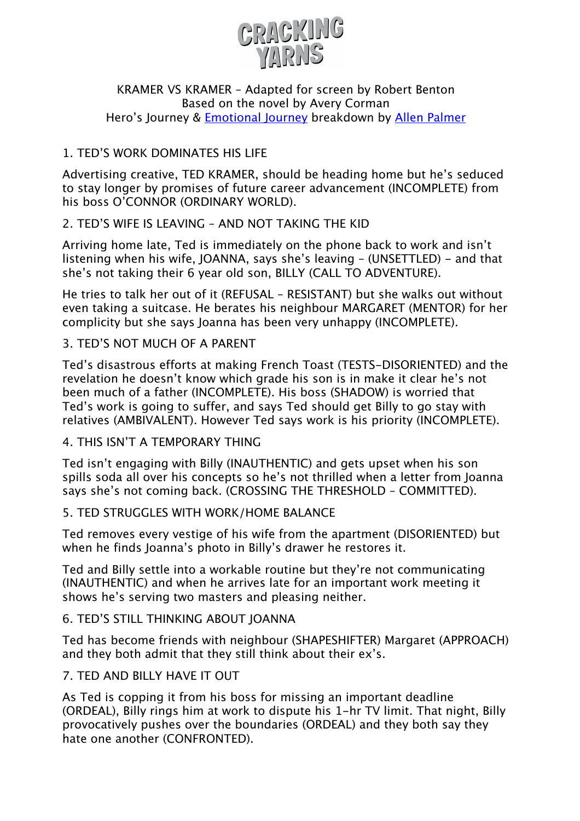

#### KRAMER VS KRAMER – Adapted for screen by Robert Benton Based on the novel by Avery Corman Hero's Journey & Emotional Journey breakdown by Allen Palmer

# 1. TED'S WORK DOMINATES HIS LIFE

Advertising creative, TED KRAMER, should be heading home but he's seduced to stay longer by promises of future career advancement (INCOMPLETE) from his boss O'CONNOR (ORDINARY WORLD).

### 2. TED'S WIFE IS LEAVING – AND NOT TAKING THE KID

Arriving home late, Ted is immediately on the phone back to work and isn't listening when his wife, JOANNA, says she's leaving – (UNSETTLED) - and that she's not taking their 6 year old son, BILLY (CALL TO ADVENTURE).

He tries to talk her out of it (REFUSAL – RESISTANT) but she walks out without even taking a suitcase. He berates his neighbour MARGARET (MENTOR) for her complicity but she says Joanna has been very unhappy (INCOMPLETE).

# 3. TED'S NOT MUCH OF A PARENT

Ted's disastrous efforts at making French Toast (TESTS-DISORIENTED) and the revelation he doesn't know which grade his son is in make it clear he's not been much of a father (INCOMPLETE). His boss (SHADOW) is worried that Ted's work is going to suffer, and says Ted should get Billy to go stay with relatives (AMBIVALENT). However Ted says work is his priority (INCOMPLETE).

### 4. THIS ISN'T A TEMPORARY THING

Ted isn't engaging with Billy (INAUTHENTIC) and gets upset when his son spills soda all over his concepts so he's not thrilled when a letter from Joanna says she's not coming back. (CROSSING THE THRESHOLD – COMMITTED).

### 5. TED STRUGGLES WITH WORK/HOME BALANCE

Ted removes every vestige of his wife from the apartment (DISORIENTED) but when he finds Joanna's photo in Billy's drawer he restores it.

Ted and Billy settle into a workable routine but they're not communicating (INAUTHENTIC) and when he arrives late for an important work meeting it shows he's serving two masters and pleasing neither.

### 6. TED'S STILL THINKING ABOUT JOANNA

Ted has become friends with neighbour (SHAPESHIFTER) Margaret (APPROACH) and they both admit that they still think about their ex's.

### 7. TED AND BILLY HAVE IT OUT

As Ted is copping it from his boss for missing an important deadline (ORDEAL), Billy rings him at work to dispute his 1-hr TV limit. That night, Billy provocatively pushes over the boundaries (ORDEAL) and they both say they hate one another (CONFRONTED).